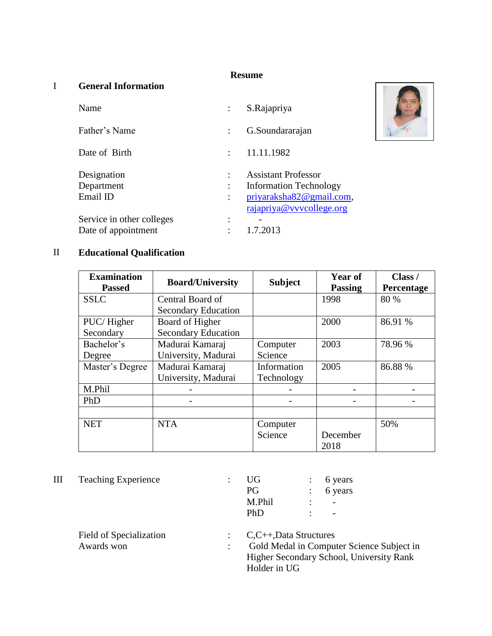### **Resume**

### I **General Information**

| Name                      |                | S.Rajapriya                                          |
|---------------------------|----------------|------------------------------------------------------|
| Father's Name             |                | G.Soundararajan                                      |
| Date of Birth             |                | 11.11.1982                                           |
| Designation               | ÷              | <b>Assistant Professor</b>                           |
| Department                | $\ddot{\cdot}$ | <b>Information Technology</b>                        |
| Email ID                  | ÷              | priyaraksha82@gmail.com,<br>rajapriya@vvvcollege.org |
| Service in other colleges |                |                                                      |
|                           |                |                                                      |
| Date of appointment       |                | 1.7.2013                                             |

# II **Educational Qualification**

| <b>Examination</b><br><b>Passed</b> | <b>Board/University</b>    | <b>Subject</b> | <b>Year of</b><br><b>Passing</b> | Class /<br><b>Percentage</b> |
|-------------------------------------|----------------------------|----------------|----------------------------------|------------------------------|
| <b>SSLC</b>                         | Central Board of           |                | 1998                             | 80 %                         |
|                                     | <b>Secondary Education</b> |                |                                  |                              |
| PUC/Higher                          | Board of Higher            |                | 2000                             | 86.91 %                      |
| Secondary                           | <b>Secondary Education</b> |                |                                  |                              |
| Bachelor's                          | Madurai Kamaraj            | Computer       | 2003                             | 78.96 %                      |
| Degree                              | University, Madurai        | Science        |                                  |                              |
| Master's Degree                     | Madurai Kamaraj            | Information    | 2005                             | 86.88 %                      |
|                                     | University, Madurai        | Technology     |                                  |                              |
| M.Phil                              |                            |                |                                  |                              |
| PhD                                 |                            |                |                                  |                              |
|                                     |                            |                |                                  |                              |
| <b>NET</b>                          | <b>NTA</b>                 | Computer       |                                  | 50%                          |
|                                     |                            | Science        | December                         |                              |
|                                     |                            |                | 2018                             |                              |

III Teaching Experience : U<br>P

| 6 years |
|---------|
| 6 years |
|         |
|         |
|         |

| $\therefore$ C,C++,Data Structures        |
|-------------------------------------------|
| Gold Medal in Computer Science Subject in |
| Higher Secondary School, University Rank  |
| Holder in UG                              |
|                                           |

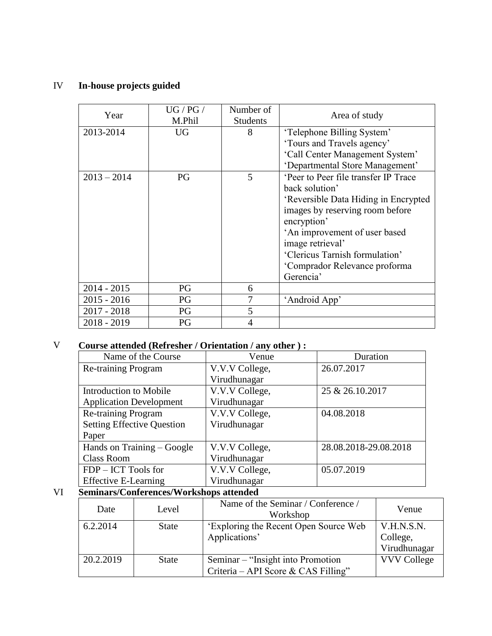# IV **In-house projects guided**

| Year          | UG / PG /<br>M.Phil | Number of<br><b>Students</b> | Area of study                        |
|---------------|---------------------|------------------------------|--------------------------------------|
| 2013-2014     | <b>UG</b>           | 8                            | 'Telephone Billing System'           |
|               |                     |                              | 'Tours and Travels agency'           |
|               |                     |                              | 'Call Center Management System'      |
|               |                     |                              | 'Departmental Store Management'      |
| $2013 - 2014$ | PG                  | 5                            | 'Peer to Peer file transfer IP Trace |
|               |                     |                              | back solution'                       |
|               |                     |                              | 'Reversible Data Hiding in Encrypted |
|               |                     |                              | images by reserving room before      |
|               |                     |                              | encryption'                          |
|               |                     |                              | 'An improvement of user based        |
|               |                     |                              | image retrieval'                     |
|               |                     |                              | 'Clericus Tarnish formulation'       |
|               |                     |                              | 'Comprador Relevance proforma        |
|               |                     |                              | Gerencia'                            |
| $2014 - 2015$ | PG                  | 6                            |                                      |
| $2015 - 2016$ | PG                  | 7                            | 'Android App'                        |
| $2017 - 2018$ | PG                  | 5                            |                                      |
| $2018 - 2019$ | PG                  | $\overline{4}$               |                                      |

### V **Course attended (Refresher / Orientation / any other ) :**

| Name of the Course                | Venue          | Duration              |
|-----------------------------------|----------------|-----------------------|
| Re-training Program               | V.V.V College, | 26.07.2017            |
|                                   | Virudhunagar   |                       |
| Introduction to Mobile            | V.V.V College, | 25 & 26.10.2017       |
| <b>Application Development</b>    | Virudhunagar   |                       |
| Re-training Program               | V.V.V College, | 04.08.2018            |
| <b>Setting Effective Question</b> | Virudhunagar   |                       |
| Paper                             |                |                       |
| Hands on Training – Google        | V.V.V College, | 28.08.2018-29.08.2018 |
| <b>Class Room</b>                 | Virudhunagar   |                       |
| FDP – ICT Tools for               | V.V.V College, | 05.07.2019            |
| <b>Effective E-Learning</b>       | Virudhunagar   |                       |

# VI **Seminars/Conferences/Workshops attended**

| Date      | Level        | Name of the Seminar / Conference /<br>Workshop                            | Venue                                  |
|-----------|--------------|---------------------------------------------------------------------------|----------------------------------------|
| 6.2.2014  | <b>State</b> | 'Exploring the Recent Open Source Web<br>Applications'                    | V.H.N.S.N.<br>College,<br>Virudhunagar |
| 20.2.2019 | <b>State</b> | Seminar – "Insight into Promotion"<br>Criteria – API Score & CAS Filling" | <b>VVV College</b>                     |